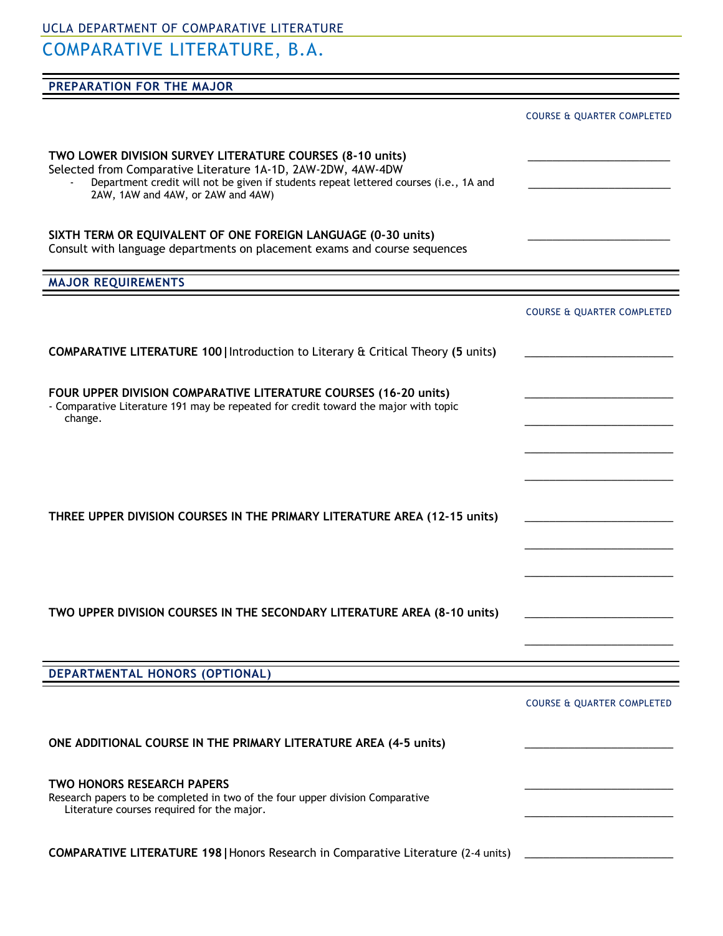UCLA DEPARTMENT OF COMPARATIVE LITERATURE COMPARATIVE LITERATURE, B.A.

| PREPARATION FOR THE MAJOR                                                                                                                                                                                                                               |                                       |
|---------------------------------------------------------------------------------------------------------------------------------------------------------------------------------------------------------------------------------------------------------|---------------------------------------|
|                                                                                                                                                                                                                                                         |                                       |
|                                                                                                                                                                                                                                                         | <b>COURSE &amp; QUARTER COMPLETED</b> |
| TWO LOWER DIVISION SURVEY LITERATURE COURSES (8-10 units)<br>Selected from Comparative Literature 1A-1D, 2AW-2DW, 4AW-4DW<br>Department credit will not be given if students repeat lettered courses (i.e., 1A and<br>2AW, 1AW and 4AW, or 2AW and 4AW) |                                       |
| SIXTH TERM OR EQUIVALENT OF ONE FOREIGN LANGUAGE (0-30 units)<br>Consult with language departments on placement exams and course sequences                                                                                                              |                                       |
| <b>MAJOR REQUIREMENTS</b>                                                                                                                                                                                                                               |                                       |
|                                                                                                                                                                                                                                                         | <b>COURSE &amp; QUARTER COMPLETED</b> |
| <b>COMPARATIVE LITERATURE 100   Introduction to Literary &amp; Critical Theory (5 units)</b>                                                                                                                                                            |                                       |
| FOUR UPPER DIVISION COMPARATIVE LITERATURE COURSES (16-20 units)<br>- Comparative Literature 191 may be repeated for credit toward the major with topic<br>change.                                                                                      |                                       |
| THREE UPPER DIVISION COURSES IN THE PRIMARY LITERATURE AREA (12-15 units)                                                                                                                                                                               |                                       |
| TWO UPPER DIVISION COURSES IN THE SECONDARY LITERATURE AREA (8-10 units)                                                                                                                                                                                |                                       |
| DEPARTMENTAL HONORS (OPTIONAL)                                                                                                                                                                                                                          |                                       |
|                                                                                                                                                                                                                                                         |                                       |
| ONE ADDITIONAL COURSE IN THE PRIMARY LITERATURE AREA (4-5 units)                                                                                                                                                                                        | <b>COURSE &amp; QUARTER COMPLETED</b> |

\_\_\_\_\_\_\_\_\_\_\_\_\_\_\_\_\_\_\_\_\_\_\_\_

\_\_\_\_\_\_\_\_\_\_\_\_\_\_\_\_\_\_\_\_\_\_\_\_

| TWO HONORS RESEARCH PAPERS                                                    |  |
|-------------------------------------------------------------------------------|--|
| Research papers to be completed in two of the four upper division Comparative |  |
| Literature courses required for the major.                                    |  |

**COMPARATIVE LITERATURE 198|**Honors Research in Comparative Literature (2-4 units) \_\_\_\_\_\_\_\_\_\_\_\_\_\_\_\_\_\_\_\_\_\_\_\_